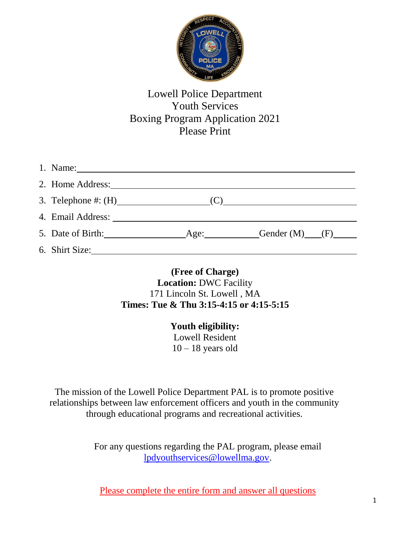

## Lowell Police Department Youth Services Boxing Program Application 2021 Please Print

| 2. Home Address: 2008. All Contract Contract Contract Contract Contract Contract Contract Contract Contract Contract Contract Contract Contract Contract Contract Contract Contract Contract Contract Contract Contract Contra |                  |  |
|--------------------------------------------------------------------------------------------------------------------------------------------------------------------------------------------------------------------------------|------------------|--|
|                                                                                                                                                                                                                                |                  |  |
|                                                                                                                                                                                                                                |                  |  |
|                                                                                                                                                                                                                                | Gender $(M)$ (F) |  |
| 6. Shirt Size:                                                                                                                                                                                                                 |                  |  |

**(Free of Charge) Location:** DWC Facility 171 Lincoln St. Lowell , MA **Times: Tue & Thu 3:15-4:15 or 4:15-5:15**

> **Youth eligibility:** Lowell Resident  $10 - 18$  years old

The mission of the Lowell Police Department PAL is to promote positive relationships between law enforcement officers and youth in the community through educational programs and recreational activities.

> For any questions regarding the PAL program, please email [lpdyouthservices@lowellma.gov.](mailto:lpdyouthservices@lowellma.gov)

Please complete the entire form and answer all questions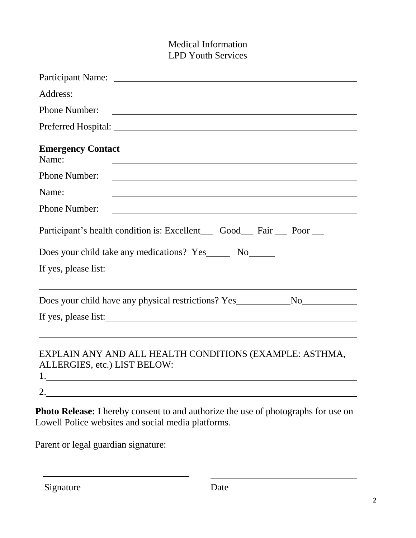## Medical Information LPD Youth Services

| Address:<br><u> 1989 - Johann Barbara, martin amerikan basar dan berasal dalam basa dan berasal dalam basar dalam basa dalam</u> |
|----------------------------------------------------------------------------------------------------------------------------------|
| <b>Phone Number:</b><br><u> 1980 - Johann Barn, fransk politik (d. 1980)</u>                                                     |
|                                                                                                                                  |
| <b>Emergency Contact</b><br>Name:                                                                                                |
| <b>Phone Number:</b>                                                                                                             |
| Name:                                                                                                                            |
| <b>Phone Number:</b><br><u> 1980 - Johann Barn, fransk politik (d. 1980)</u>                                                     |
| Participant's health condition is: Excellent Good Fair poor                                                                      |
| Does your child take any medications? Yes _______ No_______                                                                      |
| If yes, please list:                                                                                                             |
|                                                                                                                                  |
| Does your child have any physical restrictions? Yes _____________________________                                                |
|                                                                                                                                  |
|                                                                                                                                  |
| EXPLAIN ANY AND ALL HEALTH CONDITIONS (EXAMPLE: ASTHMA,<br>ALLERGIES, etc.) LIST BELOW:                                          |

**Photo Release:** I hereby consent to and authorize the use of photographs for use on Lowell Police websites and social media platforms.

Parent or legal guardian signature:

2.